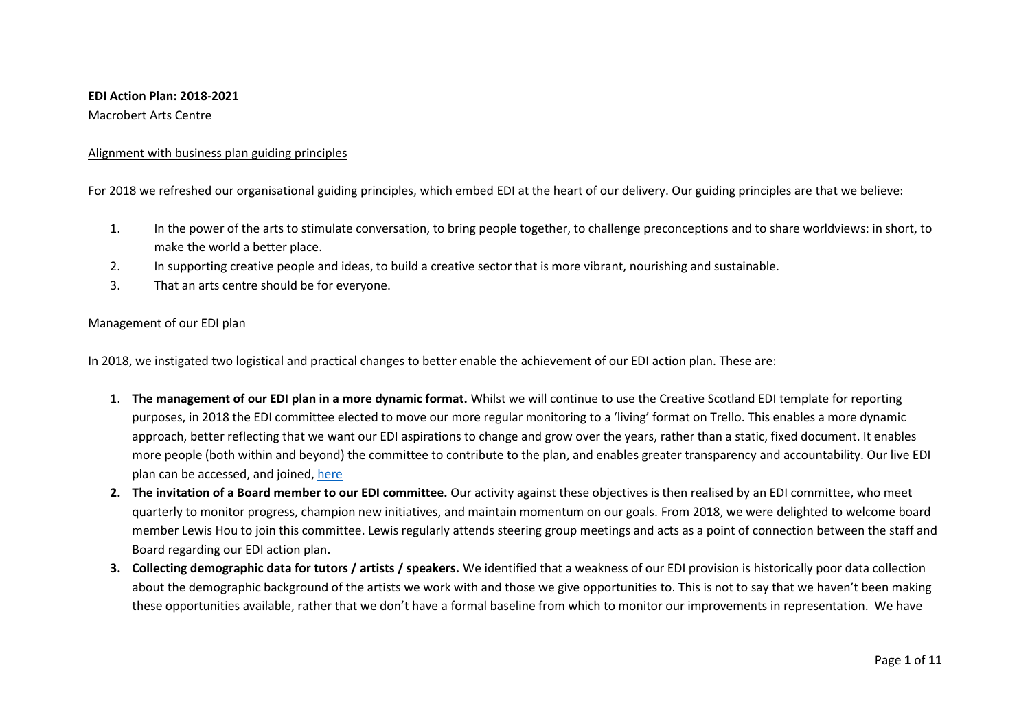### **EDI Action Plan: 2018-2021**

### Macrobert Arts Centre

### Alignment with business plan guiding principles

For 2018 we refreshed our organisational guiding principles, which embed EDI at the heart of our delivery. Our guiding principles are that we believe:

- 1. In the power of the arts to stimulate conversation, to bring people together, to challenge preconceptions and to share worldviews: in short, to make the world a better place.
- 2. In supporting creative people and ideas, to build a creative sector that is more vibrant, nourishing and sustainable.
- 3. That an arts centre should be for everyone.

### Management of our EDI plan

In 2018, we instigated two logistical and practical changes to better enable the achievement of our EDI action plan. These are:

- 1. **The management of our EDI plan in a more dynamic format.** Whilst we will continue to use the Creative Scotland EDI template for reporting purposes, in 2018 the EDI committee elected to move our more regular monitoring to a 'living' format on Trello. This enables a more dynamic approach, better reflecting that we want our EDI aspirations to change and grow over the years, rather than a static, fixed document. It enables more people (both within and beyond) the committee to contribute to the plan, and enables greater transparency and accountability. Our live EDI plan can be accessed, and joined[, here](https://trello.com/invite/b/gwB53H2z/6a5a4f3c867f4530c852d79d609aba70/edi-steering-group)
- **2. The invitation of a Board member to our EDI committee.** Our activity against these objectives is then realised by an EDI committee, who meet quarterly to monitor progress, champion new initiatives, and maintain momentum on our goals. From 2018, we were delighted to welcome board member Lewis Hou to join this committee. Lewis regularly attends steering group meetings and acts as a point of connection between the staff and Board regarding our EDI action plan.
- **3. Collecting demographic data for tutors / artists / speakers.** We identified that a weakness of our EDI provision is historically poor data collection about the demographic background of the artists we work with and those we give opportunities to. This is not to say that we haven't been making these opportunities available, rather that we don't have a formal baseline from which to monitor our improvements in representation. We have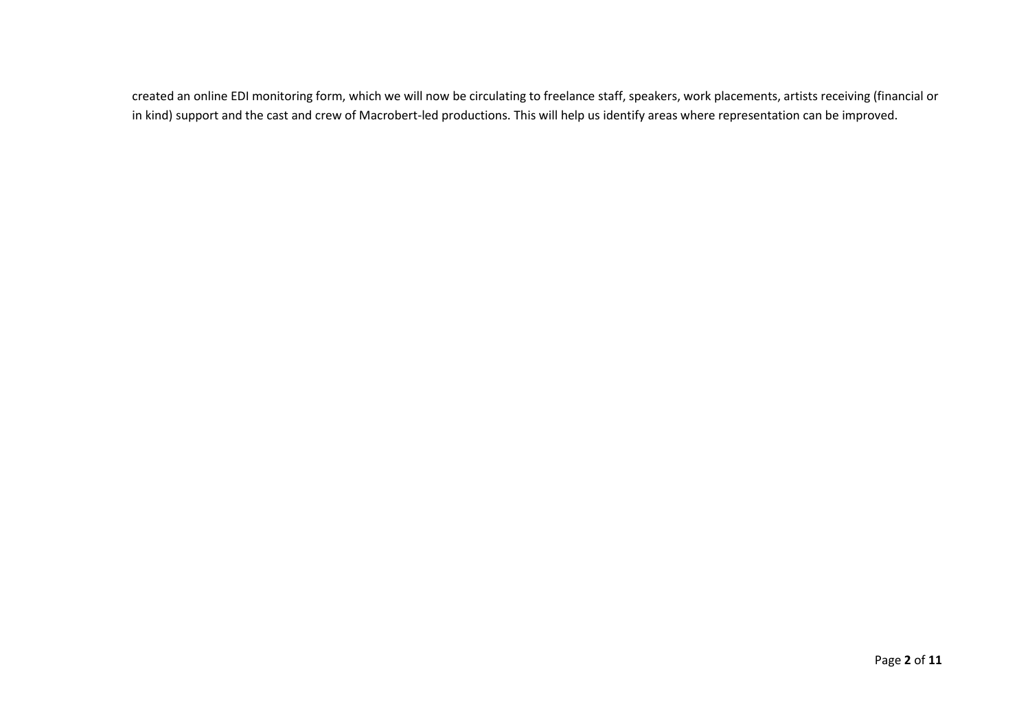created an online EDI monitoring form, which we will now be circulating to freelance staff, speakers, work placements, artists receiving (financial or in kind) support and the cast and crew of Macrobert-led productions. This will help us identify areas where representation can be improved.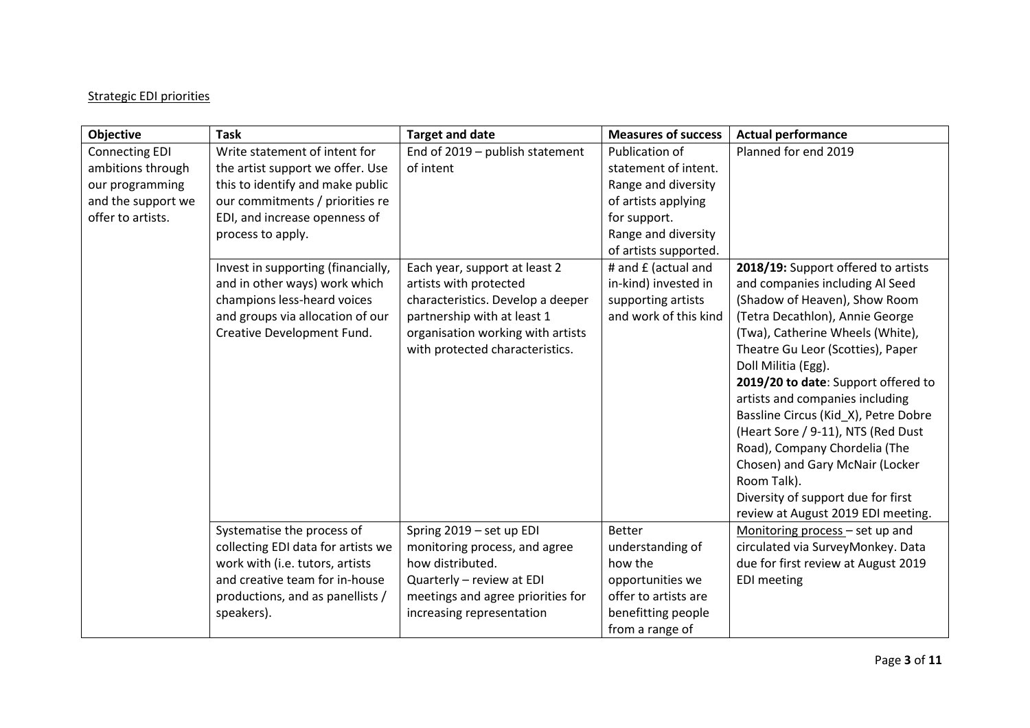# Strategic EDI priorities

| Objective                                                                                                | <b>Task</b>                                                                                                                                                                                                                          | <b>Target and date</b>                                                                                                                                             | <b>Measures of success</b>                                                                                                                                                  | <b>Actual performance</b>                                                                                                                                                                                                                                                                                                                                                                                                                                                                                                  |
|----------------------------------------------------------------------------------------------------------|--------------------------------------------------------------------------------------------------------------------------------------------------------------------------------------------------------------------------------------|--------------------------------------------------------------------------------------------------------------------------------------------------------------------|-----------------------------------------------------------------------------------------------------------------------------------------------------------------------------|----------------------------------------------------------------------------------------------------------------------------------------------------------------------------------------------------------------------------------------------------------------------------------------------------------------------------------------------------------------------------------------------------------------------------------------------------------------------------------------------------------------------------|
| <b>Connecting EDI</b><br>ambitions through<br>our programming<br>and the support we<br>offer to artists. | Write statement of intent for<br>the artist support we offer. Use<br>this to identify and make public<br>our commitments / priorities re<br>EDI, and increase openness of<br>process to apply.<br>Invest in supporting (financially, | End of 2019 - publish statement<br>of intent<br>Each year, support at least 2                                                                                      | Publication of<br>statement of intent.<br>Range and diversity<br>of artists applying<br>for support.<br>Range and diversity<br>of artists supported.<br># and £ (actual and | Planned for end 2019<br>2018/19: Support offered to artists                                                                                                                                                                                                                                                                                                                                                                                                                                                                |
|                                                                                                          | and in other ways) work which<br>champions less-heard voices<br>and groups via allocation of our<br>Creative Development Fund.                                                                                                       | artists with protected<br>characteristics. Develop a deeper<br>partnership with at least 1<br>organisation working with artists<br>with protected characteristics. | in-kind) invested in<br>supporting artists<br>and work of this kind                                                                                                         | and companies including Al Seed<br>(Shadow of Heaven), Show Room<br>(Tetra Decathlon), Annie George<br>(Twa), Catherine Wheels (White),<br>Theatre Gu Leor (Scotties), Paper<br>Doll Militia (Egg).<br>2019/20 to date: Support offered to<br>artists and companies including<br>Bassline Circus (Kid_X), Petre Dobre<br>(Heart Sore / 9-11), NTS (Red Dust<br>Road), Company Chordelia (The<br>Chosen) and Gary McNair (Locker<br>Room Talk).<br>Diversity of support due for first<br>review at August 2019 EDI meeting. |
|                                                                                                          | Systematise the process of<br>collecting EDI data for artists we<br>work with (i.e. tutors, artists<br>and creative team for in-house                                                                                                | Spring 2019 - set up EDI<br>monitoring process, and agree<br>how distributed.<br>Quarterly - review at EDI                                                         | <b>Better</b><br>understanding of<br>how the<br>opportunities we                                                                                                            | Monitoring process - set up and<br>circulated via SurveyMonkey. Data<br>due for first review at August 2019<br><b>EDI</b> meeting                                                                                                                                                                                                                                                                                                                                                                                          |
|                                                                                                          | productions, and as panellists /<br>speakers).                                                                                                                                                                                       | meetings and agree priorities for<br>increasing representation                                                                                                     | offer to artists are<br>benefitting people<br>from a range of                                                                                                               |                                                                                                                                                                                                                                                                                                                                                                                                                                                                                                                            |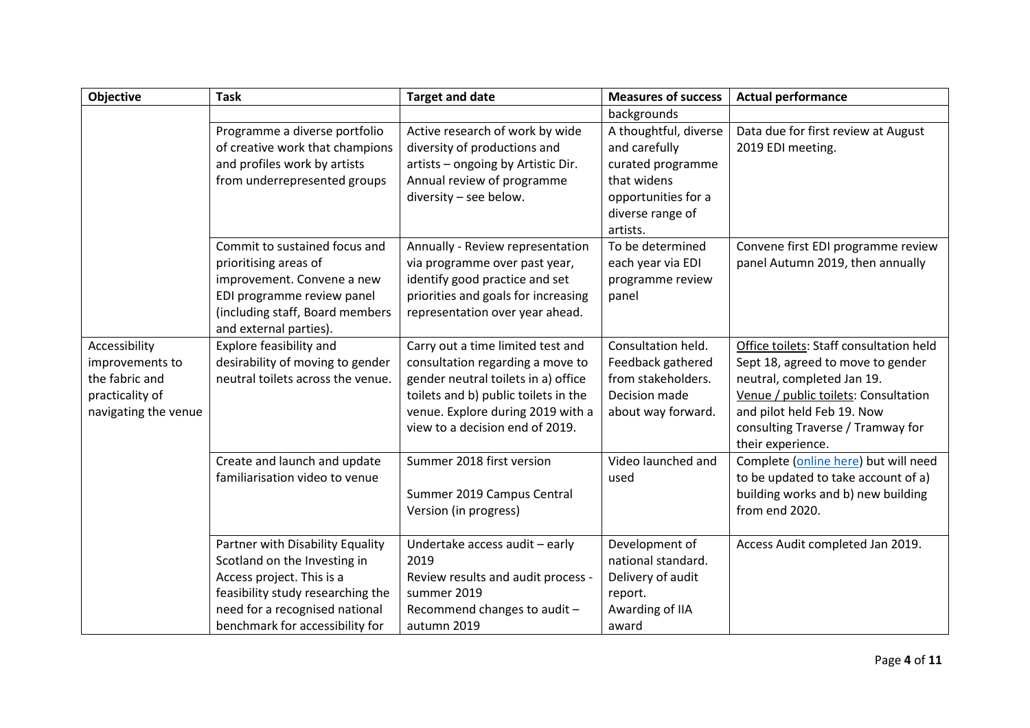| <b>Objective</b>                                                                              | <b>Task</b>                                                                                                                                                                                             | <b>Target and date</b>                                                                                                                                                                                                       | <b>Measures of success</b>                                                                                                        | <b>Actual performance</b>                                                                                                                                                                                                                  |
|-----------------------------------------------------------------------------------------------|---------------------------------------------------------------------------------------------------------------------------------------------------------------------------------------------------------|------------------------------------------------------------------------------------------------------------------------------------------------------------------------------------------------------------------------------|-----------------------------------------------------------------------------------------------------------------------------------|--------------------------------------------------------------------------------------------------------------------------------------------------------------------------------------------------------------------------------------------|
|                                                                                               |                                                                                                                                                                                                         |                                                                                                                                                                                                                              | backgrounds                                                                                                                       |                                                                                                                                                                                                                                            |
|                                                                                               | Programme a diverse portfolio<br>of creative work that champions<br>and profiles work by artists<br>from underrepresented groups                                                                        | Active research of work by wide<br>diversity of productions and<br>artists - ongoing by Artistic Dir.<br>Annual review of programme<br>diversity - see below.                                                                | A thoughtful, diverse<br>and carefully<br>curated programme<br>that widens<br>opportunities for a<br>diverse range of<br>artists. | Data due for first review at August<br>2019 EDI meeting.                                                                                                                                                                                   |
|                                                                                               | Commit to sustained focus and<br>prioritising areas of<br>improvement. Convene a new<br>EDI programme review panel<br>(including staff, Board members<br>and external parties).                         | Annually - Review representation<br>via programme over past year,<br>identify good practice and set<br>priorities and goals for increasing<br>representation over year ahead.                                                | To be determined<br>each year via EDI<br>programme review<br>panel                                                                | Convene first EDI programme review<br>panel Autumn 2019, then annually                                                                                                                                                                     |
| Accessibility<br>improvements to<br>the fabric and<br>practicality of<br>navigating the venue | <b>Explore feasibility and</b><br>desirability of moving to gender<br>neutral toilets across the venue.                                                                                                 | Carry out a time limited test and<br>consultation regarding a move to<br>gender neutral toilets in a) office<br>toilets and b) public toilets in the<br>venue. Explore during 2019 with a<br>view to a decision end of 2019. | Consultation held.<br>Feedback gathered<br>from stakeholders.<br>Decision made<br>about way forward.                              | Office toilets: Staff consultation held<br>Sept 18, agreed to move to gender<br>neutral, completed Jan 19.<br>Venue / public toilets: Consultation<br>and pilot held Feb 19. Now<br>consulting Traverse / Tramway for<br>their experience. |
|                                                                                               | Create and launch and update<br>familiarisation video to venue                                                                                                                                          | Summer 2018 first version<br>Summer 2019 Campus Central<br>Version (in progress)                                                                                                                                             | Video launched and<br>used                                                                                                        | Complete (online here) but will need<br>to be updated to take account of a)<br>building works and b) new building<br>from end 2020.                                                                                                        |
|                                                                                               | Partner with Disability Equality<br>Scotland on the Investing in<br>Access project. This is a<br>feasibility study researching the<br>need for a recognised national<br>benchmark for accessibility for | Undertake access audit - early<br>2019<br>Review results and audit process -<br>summer 2019<br>Recommend changes to audit -<br>autumn 2019                                                                                   | Development of<br>national standard.<br>Delivery of audit<br>report.<br>Awarding of IIA<br>award                                  | Access Audit completed Jan 2019.                                                                                                                                                                                                           |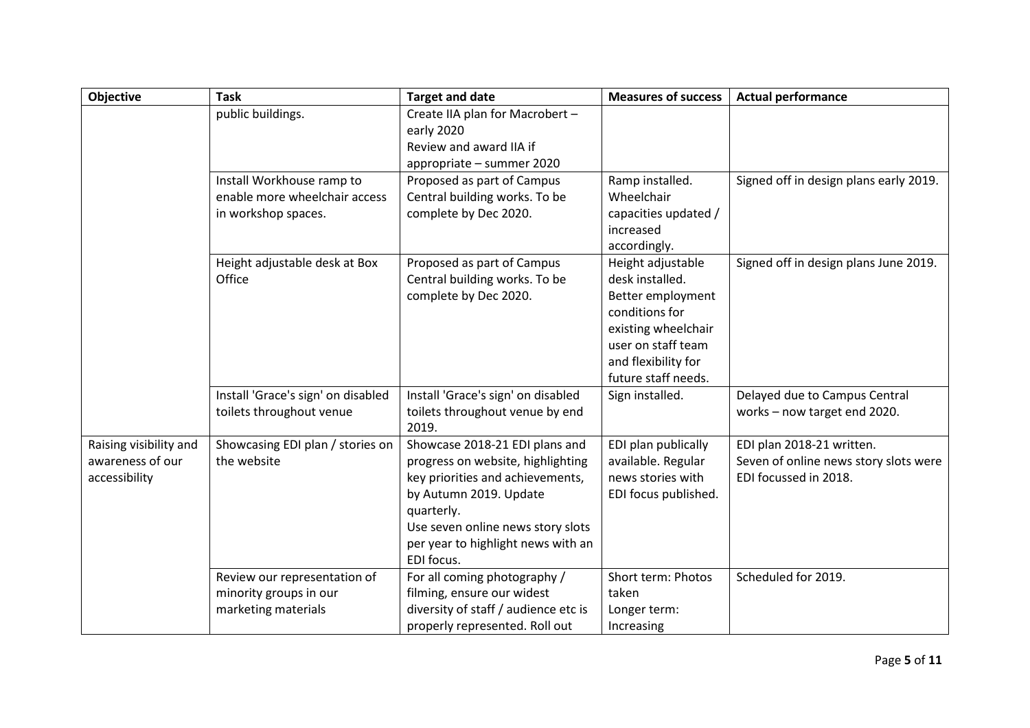| <b>Objective</b>       | <b>Task</b>                             | <b>Target and date</b>                                      | <b>Measures of success</b>           | <b>Actual performance</b>              |
|------------------------|-----------------------------------------|-------------------------------------------------------------|--------------------------------------|----------------------------------------|
|                        | public buildings.                       | Create IIA plan for Macrobert -                             |                                      |                                        |
|                        |                                         | early 2020                                                  |                                      |                                        |
|                        |                                         | Review and award IIA if                                     |                                      |                                        |
|                        |                                         | appropriate - summer 2020                                   |                                      |                                        |
|                        | Install Workhouse ramp to               | Proposed as part of Campus                                  | Ramp installed.                      | Signed off in design plans early 2019. |
|                        | enable more wheelchair access           | Central building works. To be                               | Wheelchair                           |                                        |
|                        | in workshop spaces.                     | complete by Dec 2020.                                       | capacities updated /                 |                                        |
|                        |                                         |                                                             | increased                            |                                        |
|                        |                                         |                                                             | accordingly.                         |                                        |
|                        | Height adjustable desk at Box<br>Office | Proposed as part of Campus<br>Central building works. To be | Height adjustable<br>desk installed. | Signed off in design plans June 2019.  |
|                        |                                         | complete by Dec 2020.                                       | Better employment                    |                                        |
|                        |                                         |                                                             | conditions for                       |                                        |
|                        |                                         |                                                             | existing wheelchair                  |                                        |
|                        |                                         |                                                             | user on staff team                   |                                        |
|                        |                                         |                                                             | and flexibility for                  |                                        |
|                        |                                         |                                                             | future staff needs.                  |                                        |
|                        | Install 'Grace's sign' on disabled      | Install 'Grace's sign' on disabled                          | Sign installed.                      | Delayed due to Campus Central          |
|                        | toilets throughout venue                | toilets throughout venue by end                             |                                      | works - now target end 2020.           |
|                        |                                         | 2019.                                                       |                                      |                                        |
| Raising visibility and | Showcasing EDI plan / stories on        | Showcase 2018-21 EDI plans and                              | EDI plan publically                  | EDI plan 2018-21 written.              |
| awareness of our       | the website                             | progress on website, highlighting                           | available. Regular                   | Seven of online news story slots were  |
| accessibility          |                                         | key priorities and achievements,                            | news stories with                    | EDI focussed in 2018.                  |
|                        |                                         | by Autumn 2019. Update                                      | EDI focus published.                 |                                        |
|                        |                                         | quarterly.                                                  |                                      |                                        |
|                        |                                         | Use seven online news story slots                           |                                      |                                        |
|                        |                                         | per year to highlight news with an                          |                                      |                                        |
|                        |                                         | EDI focus.                                                  |                                      |                                        |
|                        | Review our representation of            | For all coming photography /                                | Short term: Photos                   | Scheduled for 2019.                    |
|                        | minority groups in our                  | filming, ensure our widest                                  | taken                                |                                        |
|                        | marketing materials                     | diversity of staff / audience etc is                        | Longer term:                         |                                        |
|                        |                                         | properly represented. Roll out                              | Increasing                           |                                        |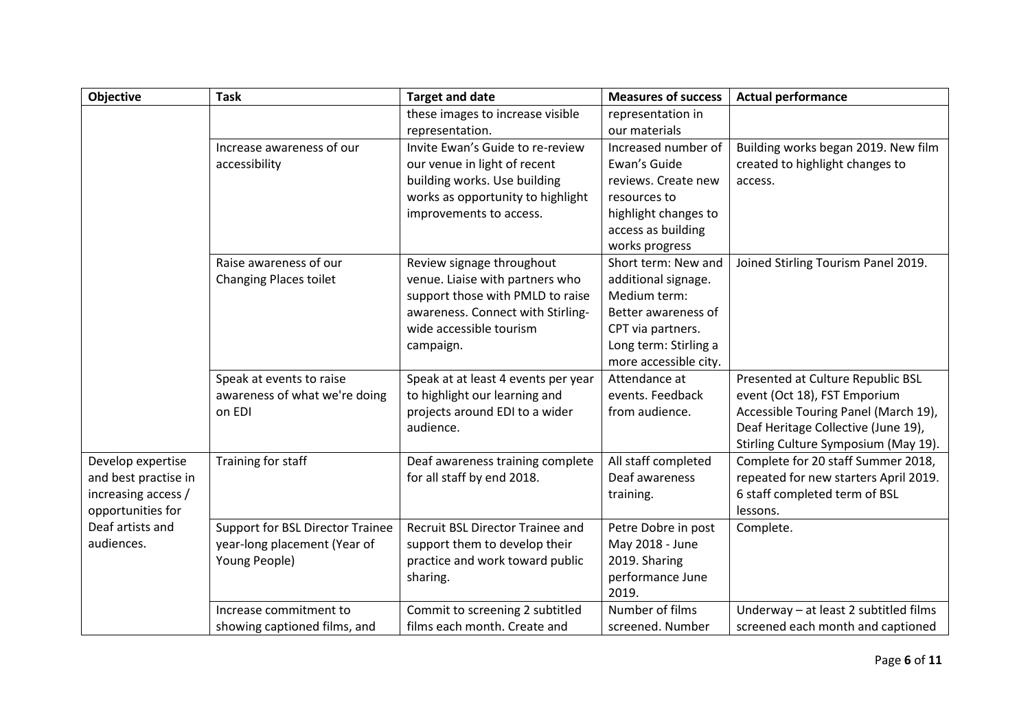| <b>Objective</b>     | <b>Task</b>                      | <b>Target and date</b>              | <b>Measures of success</b> | <b>Actual performance</b>             |
|----------------------|----------------------------------|-------------------------------------|----------------------------|---------------------------------------|
|                      |                                  | these images to increase visible    | representation in          |                                       |
|                      |                                  | representation.                     | our materials              |                                       |
|                      | Increase awareness of our        | Invite Ewan's Guide to re-review    | Increased number of        | Building works began 2019. New film   |
|                      | accessibility                    | our venue in light of recent        | Ewan's Guide               | created to highlight changes to       |
|                      |                                  | building works. Use building        | reviews. Create new        | access.                               |
|                      |                                  | works as opportunity to highlight   | resources to               |                                       |
|                      |                                  | improvements to access.             | highlight changes to       |                                       |
|                      |                                  |                                     | access as building         |                                       |
|                      |                                  |                                     | works progress             |                                       |
|                      | Raise awareness of our           | Review signage throughout           | Short term: New and        | Joined Stirling Tourism Panel 2019.   |
|                      | <b>Changing Places toilet</b>    | venue. Liaise with partners who     | additional signage.        |                                       |
|                      |                                  | support those with PMLD to raise    | Medium term:               |                                       |
|                      |                                  | awareness. Connect with Stirling-   | Better awareness of        |                                       |
|                      |                                  | wide accessible tourism             | CPT via partners.          |                                       |
|                      |                                  | campaign.                           | Long term: Stirling a      |                                       |
|                      |                                  |                                     | more accessible city.      |                                       |
|                      | Speak at events to raise         | Speak at at least 4 events per year | Attendance at              | Presented at Culture Republic BSL     |
|                      | awareness of what we're doing    | to highlight our learning and       | events. Feedback           | event (Oct 18), FST Emporium          |
|                      | on EDI                           | projects around EDI to a wider      | from audience.             | Accessible Touring Panel (March 19),  |
|                      |                                  | audience.                           |                            | Deaf Heritage Collective (June 19),   |
|                      |                                  |                                     |                            | Stirling Culture Symposium (May 19).  |
| Develop expertise    | Training for staff               | Deaf awareness training complete    | All staff completed        | Complete for 20 staff Summer 2018,    |
| and best practise in |                                  | for all staff by end 2018.          | Deaf awareness             | repeated for new starters April 2019. |
| increasing access /  |                                  |                                     | training.                  | 6 staff completed term of BSL         |
| opportunities for    |                                  |                                     |                            | lessons.                              |
| Deaf artists and     | Support for BSL Director Trainee | Recruit BSL Director Trainee and    | Petre Dobre in post        | Complete.                             |
| audiences.           | year-long placement (Year of     | support them to develop their       | May 2018 - June            |                                       |
|                      | Young People)                    | practice and work toward public     | 2019. Sharing              |                                       |
|                      |                                  | sharing.                            | performance June           |                                       |
|                      |                                  |                                     | 2019.                      |                                       |
|                      | Increase commitment to           | Commit to screening 2 subtitled     | Number of films            | Underway - at least 2 subtitled films |
|                      | showing captioned films, and     | films each month. Create and        | screened. Number           | screened each month and captioned     |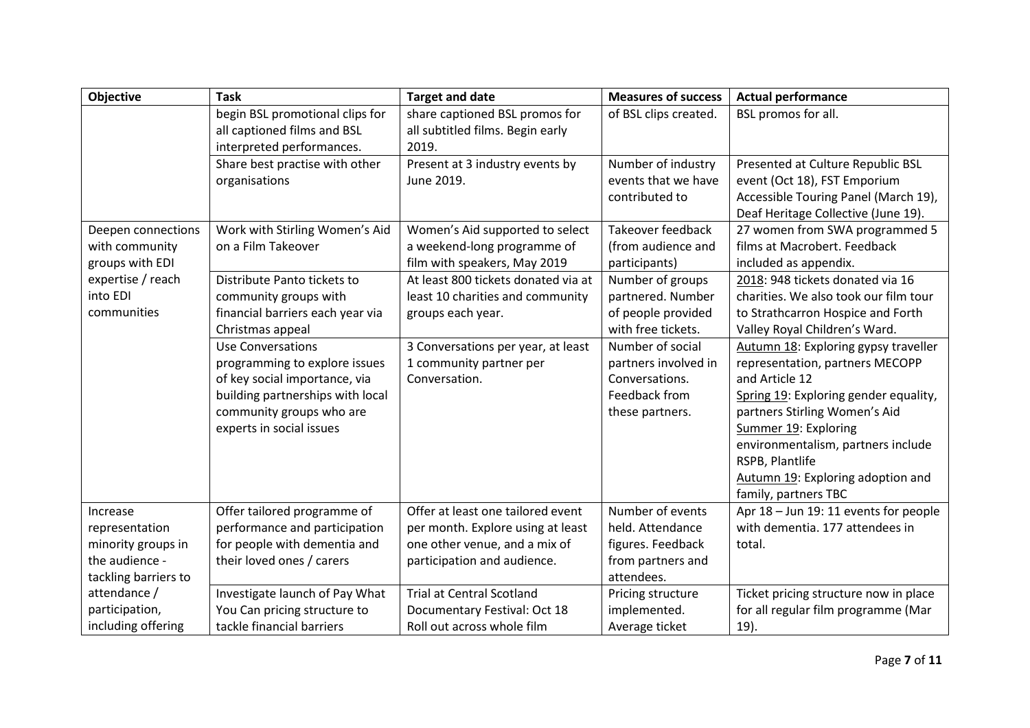| <b>Objective</b>     | <b>Task</b>                      | <b>Target and date</b>              | <b>Measures of success</b> | <b>Actual performance</b>             |
|----------------------|----------------------------------|-------------------------------------|----------------------------|---------------------------------------|
|                      | begin BSL promotional clips for  | share captioned BSL promos for      | of BSL clips created.      | BSL promos for all.                   |
|                      | all captioned films and BSL      | all subtitled films. Begin early    |                            |                                       |
|                      | interpreted performances.        | 2019.                               |                            |                                       |
|                      | Share best practise with other   | Present at 3 industry events by     | Number of industry         | Presented at Culture Republic BSL     |
|                      | organisations                    | June 2019.                          | events that we have        | event (Oct 18), FST Emporium          |
|                      |                                  |                                     | contributed to             | Accessible Touring Panel (March 19),  |
|                      |                                  |                                     |                            | Deaf Heritage Collective (June 19).   |
| Deepen connections   | Work with Stirling Women's Aid   | Women's Aid supported to select     | Takeover feedback          | 27 women from SWA programmed 5        |
| with community       | on a Film Takeover               | a weekend-long programme of         | (from audience and         | films at Macrobert. Feedback          |
| groups with EDI      |                                  | film with speakers, May 2019        | participants)              | included as appendix.                 |
| expertise / reach    | Distribute Panto tickets to      | At least 800 tickets donated via at | Number of groups           | 2018: 948 tickets donated via 16      |
| into EDI             | community groups with            | least 10 charities and community    | partnered. Number          | charities. We also took our film tour |
| communities          | financial barriers each year via | groups each year.                   | of people provided         | to Strathcarron Hospice and Forth     |
|                      | Christmas appeal                 |                                     | with free tickets.         | Valley Royal Children's Ward.         |
|                      | <b>Use Conversations</b>         | 3 Conversations per year, at least  | Number of social           | Autumn 18: Exploring gypsy traveller  |
|                      | programming to explore issues    | 1 community partner per             | partners involved in       | representation, partners MECOPP       |
|                      | of key social importance, via    | Conversation.                       | Conversations.             | and Article 12                        |
|                      | building partnerships with local |                                     | Feedback from              | Spring 19: Exploring gender equality, |
|                      | community groups who are         |                                     | these partners.            | partners Stirling Women's Aid         |
|                      | experts in social issues         |                                     |                            | Summer 19: Exploring                  |
|                      |                                  |                                     |                            | environmentalism, partners include    |
|                      |                                  |                                     |                            | RSPB, Plantlife                       |
|                      |                                  |                                     |                            | Autumn 19: Exploring adoption and     |
|                      |                                  |                                     |                            | family, partners TBC                  |
| Increase             | Offer tailored programme of      | Offer at least one tailored event   | Number of events           | Apr 18 - Jun 19: 11 events for people |
| representation       | performance and participation    | per month. Explore using at least   | held. Attendance           | with dementia. 177 attendees in       |
| minority groups in   | for people with dementia and     | one other venue, and a mix of       | figures. Feedback          | total.                                |
| the audience -       | their loved ones / carers        | participation and audience.         | from partners and          |                                       |
| tackling barriers to |                                  |                                     | attendees.                 |                                       |
| attendance /         | Investigate launch of Pay What   | <b>Trial at Central Scotland</b>    | Pricing structure          | Ticket pricing structure now in place |
| participation,       | You Can pricing structure to     | Documentary Festival: Oct 18        | implemented.               | for all regular film programme (Mar   |
| including offering   | tackle financial barriers        | Roll out across whole film          | Average ticket             | 19).                                  |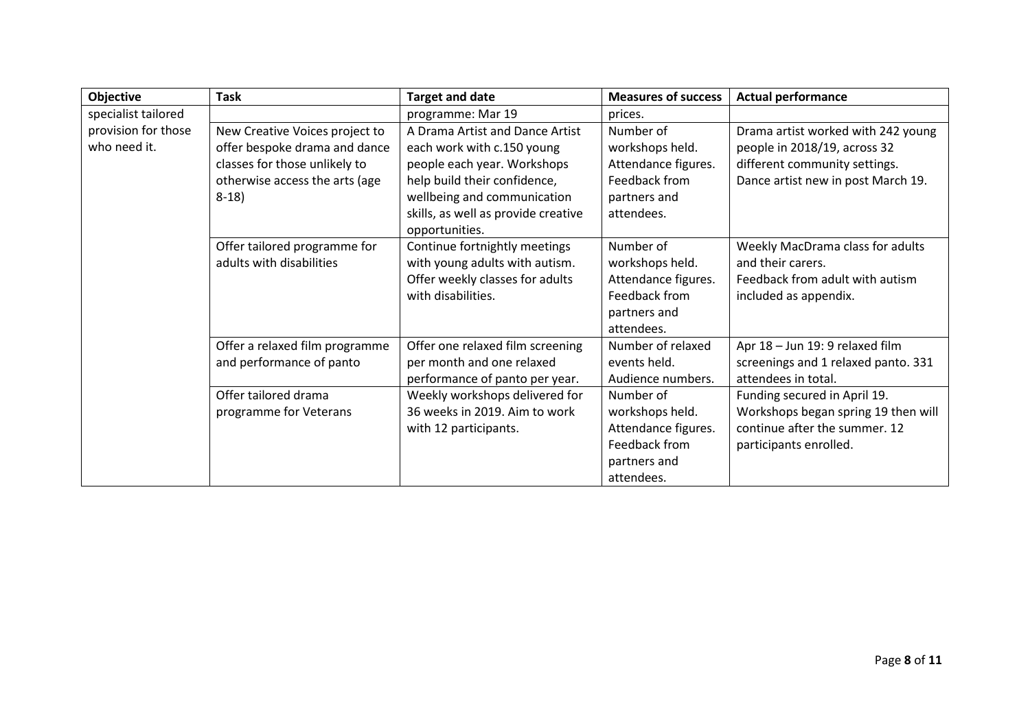| Objective           | <b>Task</b>                    | <b>Target and date</b>              | <b>Measures of success</b> | <b>Actual performance</b>           |
|---------------------|--------------------------------|-------------------------------------|----------------------------|-------------------------------------|
| specialist tailored |                                | programme: Mar 19                   | prices.                    |                                     |
| provision for those | New Creative Voices project to | A Drama Artist and Dance Artist     | Number of                  | Drama artist worked with 242 young  |
| who need it.        | offer bespoke drama and dance  | each work with c.150 young          | workshops held.            | people in 2018/19, across 32        |
|                     | classes for those unlikely to  | people each year. Workshops         | Attendance figures.        | different community settings.       |
|                     | otherwise access the arts (age | help build their confidence,        | Feedback from              | Dance artist new in post March 19.  |
|                     | $8-18$                         | wellbeing and communication         | partners and               |                                     |
|                     |                                | skills, as well as provide creative | attendees.                 |                                     |
|                     |                                | opportunities.                      |                            |                                     |
|                     | Offer tailored programme for   | Continue fortnightly meetings       | Number of                  | Weekly MacDrama class for adults    |
|                     | adults with disabilities       | with young adults with autism.      | workshops held.            | and their carers.                   |
|                     |                                | Offer weekly classes for adults     | Attendance figures.        | Feedback from adult with autism     |
|                     |                                | with disabilities.                  | Feedback from              | included as appendix.               |
|                     |                                |                                     | partners and               |                                     |
|                     |                                |                                     | attendees.                 |                                     |
|                     | Offer a relaxed film programme | Offer one relaxed film screening    | Number of relaxed          | Apr 18 - Jun 19: 9 relaxed film     |
|                     | and performance of panto       | per month and one relaxed           | events held.               | screenings and 1 relaxed panto. 331 |
|                     |                                | performance of panto per year.      | Audience numbers.          | attendees in total.                 |
|                     | Offer tailored drama           | Weekly workshops delivered for      | Number of                  | Funding secured in April 19.        |
|                     | programme for Veterans         | 36 weeks in 2019. Aim to work       | workshops held.            | Workshops began spring 19 then will |
|                     |                                | with 12 participants.               | Attendance figures.        | continue after the summer. 12       |
|                     |                                |                                     | Feedback from              | participants enrolled.              |
|                     |                                |                                     | partners and               |                                     |
|                     |                                |                                     | attendees.                 |                                     |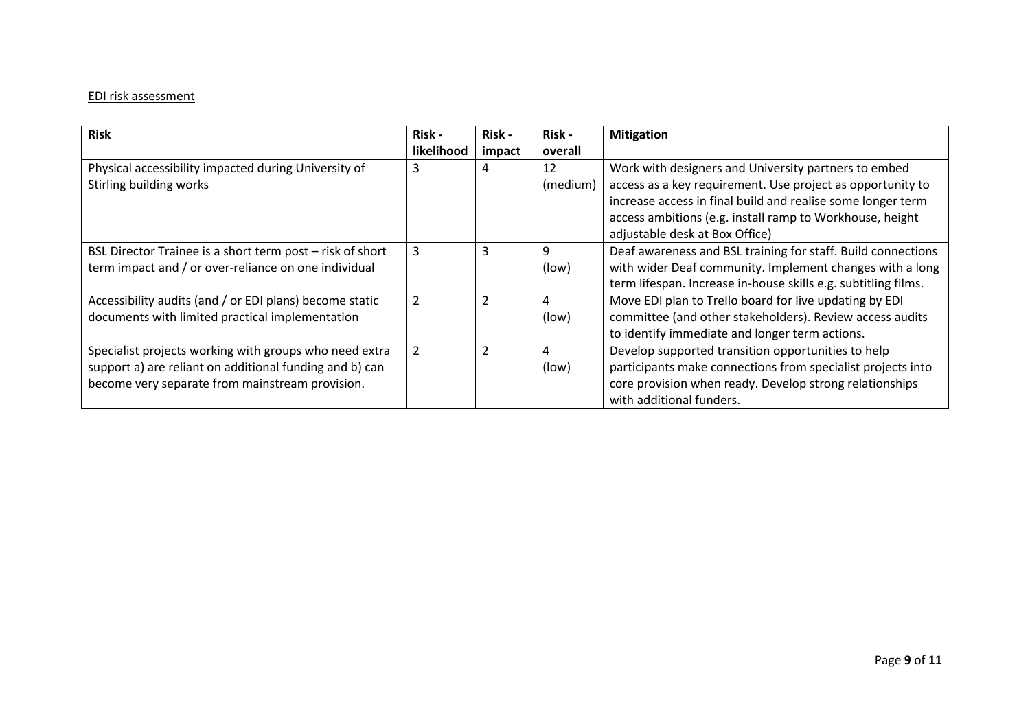# EDI risk assessment

| <b>Risk</b>                                               | Risk -         | Risk -         | Risk -   | <b>Mitigation</b>                                              |
|-----------------------------------------------------------|----------------|----------------|----------|----------------------------------------------------------------|
|                                                           | likelihood     | impact         | overall  |                                                                |
| Physical accessibility impacted during University of      | 3              | 4              | 12       | Work with designers and University partners to embed           |
| Stirling building works                                   |                |                | (medium) | access as a key requirement. Use project as opportunity to     |
|                                                           |                |                |          | increase access in final build and realise some longer term    |
|                                                           |                |                |          | access ambitions (e.g. install ramp to Workhouse, height       |
|                                                           |                |                |          | adjustable desk at Box Office)                                 |
| BSL Director Trainee is a short term post - risk of short | 3              | 3              | 9        | Deaf awareness and BSL training for staff. Build connections   |
| term impact and / or over-reliance on one individual      |                |                | (low)    | with wider Deaf community. Implement changes with a long       |
|                                                           |                |                |          | term lifespan. Increase in-house skills e.g. subtitling films. |
| Accessibility audits (and / or EDI plans) become static   | $\overline{2}$ | $\overline{2}$ | 4        | Move EDI plan to Trello board for live updating by EDI         |
| documents with limited practical implementation           |                |                | (low)    | committee (and other stakeholders). Review access audits       |
|                                                           |                |                |          | to identify immediate and longer term actions.                 |
| Specialist projects working with groups who need extra    | 2              | 2              | 4        | Develop supported transition opportunities to help             |
| support a) are reliant on additional funding and b) can   |                |                | (low)    | participants make connections from specialist projects into    |
| become very separate from mainstream provision.           |                |                |          | core provision when ready. Develop strong relationships        |
|                                                           |                |                |          | with additional funders.                                       |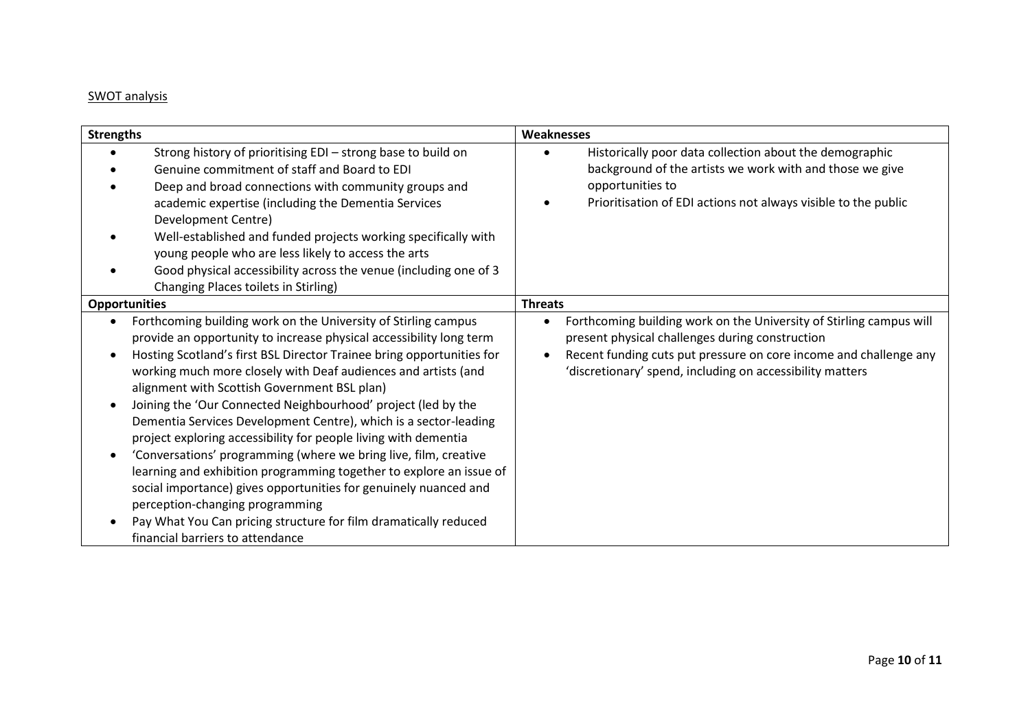# SWOT analysis

| <b>Strengths</b>                                                                                                                                                                                                                                                                                                                                                                                                                                                                                                                                                                                                                                                                                                                                                                                                                                                                                   | Weaknesses                                                                                                                                                                                                                                               |
|----------------------------------------------------------------------------------------------------------------------------------------------------------------------------------------------------------------------------------------------------------------------------------------------------------------------------------------------------------------------------------------------------------------------------------------------------------------------------------------------------------------------------------------------------------------------------------------------------------------------------------------------------------------------------------------------------------------------------------------------------------------------------------------------------------------------------------------------------------------------------------------------------|----------------------------------------------------------------------------------------------------------------------------------------------------------------------------------------------------------------------------------------------------------|
| Strong history of prioritising EDI - strong base to build on<br>Genuine commitment of staff and Board to EDI<br>Deep and broad connections with community groups and<br>academic expertise (including the Dementia Services<br>Development Centre)<br>Well-established and funded projects working specifically with<br>young people who are less likely to access the arts<br>Good physical accessibility across the venue (including one of 3<br>Changing Places toilets in Stirling)                                                                                                                                                                                                                                                                                                                                                                                                            | Historically poor data collection about the demographic<br>background of the artists we work with and those we give<br>opportunities to<br>Prioritisation of EDI actions not always visible to the public                                                |
| <b>Opportunities</b>                                                                                                                                                                                                                                                                                                                                                                                                                                                                                                                                                                                                                                                                                                                                                                                                                                                                               | <b>Threats</b>                                                                                                                                                                                                                                           |
| Forthcoming building work on the University of Stirling campus<br>provide an opportunity to increase physical accessibility long term<br>Hosting Scotland's first BSL Director Trainee bring opportunities for<br>working much more closely with Deaf audiences and artists (and<br>alignment with Scottish Government BSL plan)<br>Joining the 'Our Connected Neighbourhood' project (led by the<br>Dementia Services Development Centre), which is a sector-leading<br>project exploring accessibility for people living with dementia<br>'Conversations' programming (where we bring live, film, creative<br>learning and exhibition programming together to explore an issue of<br>social importance) gives opportunities for genuinely nuanced and<br>perception-changing programming<br>Pay What You Can pricing structure for film dramatically reduced<br>financial barriers to attendance | Forthcoming building work on the University of Stirling campus will<br>present physical challenges during construction<br>Recent funding cuts put pressure on core income and challenge any<br>'discretionary' spend, including on accessibility matters |